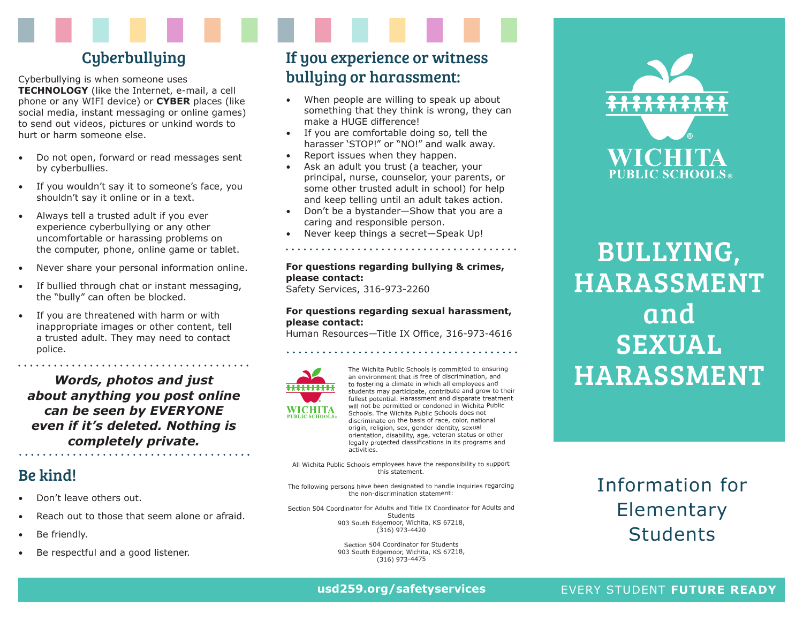# **Cyberbullying**

Cyberbullying is when someone uses **TECHNOLOGY** (like the Internet, e-mail, a cell phone or any WIFI device) or **CYBER** places (like social media, instant messaging or online games) to send out videos, pictures or unkind words to hurt or harm someone else.

- Do not open, forward or read messages sent by cyberbullies.
- If you wouldn't say it to someone's face, you shouldn't say it online or in a text.
- Always tell a trusted adult if you ever experience cyberbullying or any other uncomfortable or harassing problems on the computer, phone, online game or tablet.
- Never share your personal information online.
- If bullied through chat or instant messaging, the "bully" can often be blocked.
- If you are threatened with harm or with inappropriate images or other content, tell a trusted adult. They may need to contact police.

*Words, photos and just about anything you post online can be seen by EVERYONE even if it's deleted. Nothing is completely private.*

# Be kind!

- Don't leave others out.
- Reach out to those that seem alone or afraid.
- Be friendly.
- Be respectful and a good listener.

# If you experience or witness bullying or harassment:

- When people are willing to speak up about something that they think is wrong, they can make a HUGE difference!
- If you are comfortable doing so, tell the harasser 'STOP!" or "NO!" and walk away.
- Report issues when they happen.
- Ask an adult you trust (a teacher, your principal, nurse, counselor, your parents, or some other trusted adult in school) for help and keep telling until an adult takes action.
- Don't be a bystander—Show that you are a caring and responsible person.
- Never keep things a secret—Speak Up!

### **For questions regarding bullying & crimes, please contact:**

Safety Services, 316-973-2260

activities.

### **For questions regarding sexual harassment, please contact:**

Human Resources—Title IX Office, 316-973-4616



The Wichita Public Schools is committed to ensuring an environment that is free of discrimination, and to fostering a climate in which all employees and students may participate, contribute and grow to their fullest potential. Harassment and disparate treatment will not be permitted or condoned in Wichita Public Schools. The Wichita Public Schools does not discriminate on the basis of race, color, national origin, religion, sex, gender identity, sexual orientation, disability, age, veteran status or other legally protected classifications in its programs and

All Wichita Public Schools employees have the responsibility to support this statement.

The following persons have been designated to handle inquiries regarding the non-discrimination statement:

Section 504 Coordinator for Adults and Title IX Coordinator for Adults and Students 903 South Edgemoor, Wichita, KS 67218,  $(316)$  973-4420

> Section 504 Coordinator for Students 903 South Edgemoor, Wichita, KS 67218, (316) 973-4475



BULLYING, HARASSMENT and SEXUAL HARASSMENT

# Information for **Elementary Students**

**usd259.org/safetyservices**

### EVERY STUDENT **FUTURE READY**